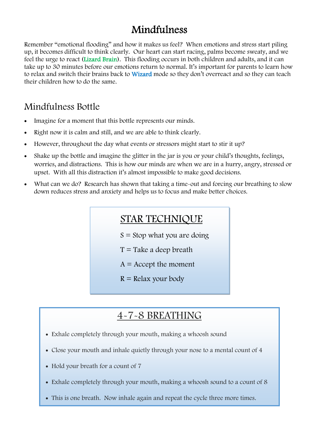## Mindfulness

Remember "emotional flooding" and how it makes us feel? When emotions and stress start piling up, it becomes difficult to think clearly. Our heart can start racing, palms become sweaty, and we feel the urge to react (Lizard Brain). This flooding occurs in both children and adults, and it can take up to 30 minutes before our emotions return to normal. It's important for parents to learn how to relax and switch their brains back to **Wizard** mode so they don't overreact and so they can teach their children how to do the same.

### Mindfulness Bottle

- Imagine for a moment that this bottle represents our minds.
- Right now it is calm and still, and we are able to think clearly.
- However, throughout the day what events or stressors might start to stir it up?
- Shake up the bottle and imagine the glitter in the jar is you or your child's thoughts, feelings, worries, and distractions. This is how our minds are when we are in a hurry, angry, stressed or upset. With all this distraction it's almost impossible to make good decisions.
- What can we do? Research has shown that taking a time-out and forcing our breathing to slow down reduces stress and anxiety and helps us to focus and make better choices.

### STAR TECHNIQUE

- $S =$  Stop what you are doing
- $T =$ Take a deep breath
- $A =$  Accept the moment
- $R =$  Relax your body

# 4-7-8 BREATHING

- Exhale completely through your mouth, making a whoosh sound
- Close your mouth and inhale quietly through your nose to a mental count of 4
- Hold your breath for a count of 7
- Exhale completely through your mouth, making a whoosh sound to a count of 8
- This is one breath. Now inhale again and repeat the cycle three more times.